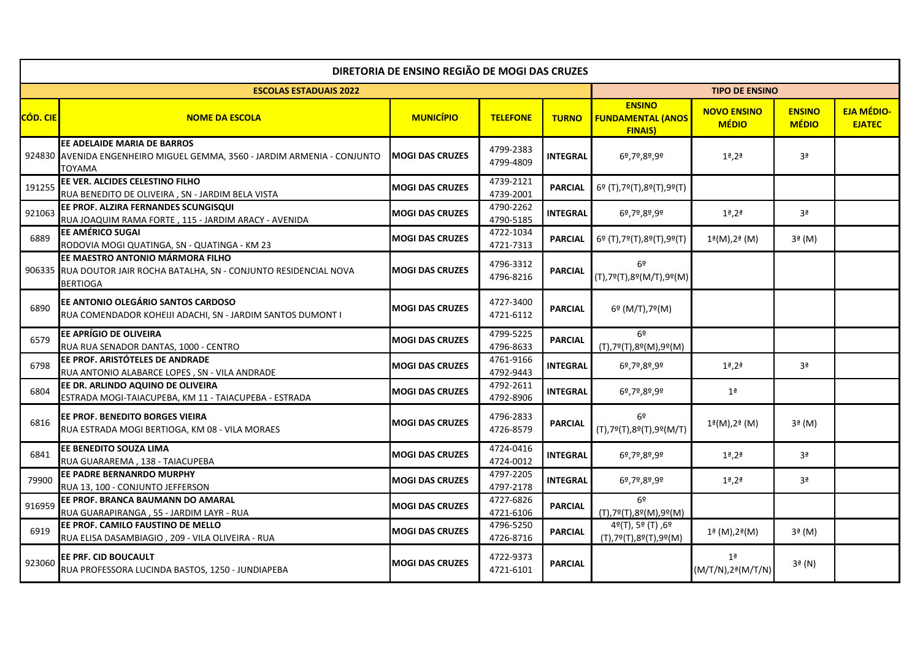| DIRETORIA DE ENSINO REGIÃO DE MOGI DAS CRUZES |                                                                                                                             |                        |                        |                 |                                                                      |                                                |                               |                                    |
|-----------------------------------------------|-----------------------------------------------------------------------------------------------------------------------------|------------------------|------------------------|-----------------|----------------------------------------------------------------------|------------------------------------------------|-------------------------------|------------------------------------|
|                                               | <b>ESCOLAS ESTADUAIS 2022</b>                                                                                               |                        |                        |                 |                                                                      |                                                |                               |                                    |
| CÓD. CIE                                      | <b>NOME DA ESCOLA</b>                                                                                                       | <b>MUNICÍPIO</b>       | <b>TELEFONE</b>        | <b>TURNO</b>    | <b>ENSINO</b><br><b>FUNDAMENTAL (ANOS</b><br><b>FINAIS)</b>          | <b>NOVO ENSINO</b><br><b>MÉDIO</b>             | <b>ENSINO</b><br><b>MÉDIO</b> | <b>EJA MÉDIO-</b><br><b>EJATEC</b> |
|                                               | EE ADELAIDE MARIA DE BARROS<br>924830 AVENIDA ENGENHEIRO MIGUEL GEMMA, 3560 - JARDIM ARMENIA - CONJUNTO<br>TOYAMA           | <b>MOGI DAS CRUZES</b> | 4799-2383<br>4799-4809 | <b>INTEGRAL</b> | 6º,7º,8º,9º                                                          | $1a$ , $2a$                                    | 3ª                            |                                    |
| 191255                                        | EE VER. ALCIDES CELESTINO FILHO<br>RUA BENEDITO DE OLIVEIRA, SN - JARDIM BELA VISTA                                         | <b>MOGI DAS CRUZES</b> | 4739-2121<br>4739-2001 | <b>PARCIAL</b>  | 6º (T),7º(T),8º(T),9º(T)                                             |                                                |                               |                                    |
| 921063                                        | EE PROF. ALZIRA FERNANDES SCUNGISQUI<br>RUA JOAQUIM RAMA FORTE, 115 - JARDIM ARACY - AVENIDA                                | <b>MOGI DAS CRUZES</b> | 4790-2262<br>4790-5185 | <b>INTEGRAL</b> | 6º,7º,8º,9º                                                          | $1a$ , $2a$                                    | 3ª                            |                                    |
| 6889                                          | EE AMÉRICO SUGAI<br>RODOVIA MOGI QUATINGA, SN - QUATINGA - KM 23                                                            | MOGI DAS CRUZES        | 4722-1034<br>4721-7313 | <b>PARCIAL</b>  | 6º (T),7º(T),8º(T),9º(T)                                             | 1 <sup>g</sup> (M), 2 <sup>g</sup> (M)         | $3a$ (M)                      |                                    |
|                                               | EE MAESTRO ANTONIO MÁRMORA FILHO<br>906335 RUA DOUTOR JAIR ROCHA BATALHA, SN - CONJUNTO RESIDENCIAL NOVA<br><b>BERTIOGA</b> | <b>MOGI DAS CRUZES</b> | 4796-3312<br>4796-8216 | <b>PARCIAL</b>  | 6º<br>(T),7º(T),8º(M/T),9º(M)                                        |                                                |                               |                                    |
| 6890                                          | EE ANTONIO OLEGÁRIO SANTOS CARDOSO<br>RUA COMENDADOR KOHEIJI ADACHI, SN - JARDIM SANTOS DUMONT I                            | <b>MOGI DAS CRUZES</b> | 4727-3400<br>4721-6112 | <b>PARCIAL</b>  | 6º (M/T),7º(M)                                                       |                                                |                               |                                    |
| 6579                                          | EE APRÍGIO DE OLIVEIRA<br>RUA RUA SENADOR DANTAS, 1000 - CENTRO                                                             | <b>MOGI DAS CRUZES</b> | 4799-5225<br>4796-8633 | <b>PARCIAL</b>  | 6º<br>(T),7º(T),8º(M),9º(M)                                          |                                                |                               |                                    |
| 6798                                          | EE PROF. ARISTÓTELES DE ANDRADE<br>RUA ANTONIO ALABARCE LOPES, SN - VILA ANDRADE                                            | <b>MOGI DAS CRUZES</b> | 4761-9166<br>4792-9443 | <b>INTEGRAL</b> | 6º,7º,8º,9º                                                          | $1a$ , $2a$                                    | Зª                            |                                    |
| 6804                                          | EE DR. ARLINDO AQUINO DE OLIVEIRA<br>ESTRADA MOGI-TAIACUPEBA, KM 11 - TAIACUPEBA - ESTRADA                                  | <b>MOGI DAS CRUZES</b> | 4792-2611<br>4792-8906 | <b>INTEGRAL</b> | 6º,7º,8º,9º                                                          | 1 <sup>a</sup>                                 |                               |                                    |
| 6816                                          | EE PROF. BENEDITO BORGES VIEIRA<br>RUA ESTRADA MOGI BERTIOGA, KM 08 - VILA MORAES                                           | <b>MOGI DAS CRUZES</b> | 4796-2833<br>4726-8579 | <b>PARCIAL</b>  | 6º<br>$(T), 7^{\circ}(T), 8^{\circ}(T), 9^{\circ}(M/T)$              | 1 <sup>a</sup> (M), 2 <sup>a</sup> (M)         | $3a$ (M)                      |                                    |
| 6841                                          | EE BENEDITO SOUZA LIMA<br>RUA GUARAREMA, 138 - TAIACUPEBA                                                                   | <b>MOGI DAS CRUZES</b> | 4724-0416<br>4724-0012 | <b>INTEGRAL</b> | 6º,7º,8º,9º                                                          | $1a$ , $2a$                                    | 3 <sup>a</sup>                |                                    |
| 79900                                         | EE PADRE BERNANRDO MURPHY<br>RUA 13, 100 - CONJUNTO JEFFERSON                                                               | <b>MOGI DAS CRUZES</b> | 4797-2205<br>4797-2178 | <b>INTEGRAL</b> | 6º,7º,8º,9º                                                          | $1a$ , $2a$                                    | 3ª                            |                                    |
| 916959                                        | EE PROF. BRANCA BAUMANN DO AMARAL<br>RUA GUARAPIRANGA, 55 - JARDIM LAYR - RUA                                               | <b>MOGI DAS CRUZES</b> | 4727-6826<br>4721-6106 | <b>PARCIAL</b>  | 6 <sup>o</sup><br>$(T), 7^{\circ}(T), 8^{\circ}(M), 9^{\circ}(M)$    |                                                |                               |                                    |
| 6919                                          | EE PROF. CAMILO FAUSTINO DE MELLO<br>RUA ELISA DASAMBIAGIO, 209 - VILA OLIVEIRA - RUA                                       | <b>MOGI DAS CRUZES</b> | 4796-5250<br>4726-8716 | <b>PARCIAL</b>  | 4º(T), 5º (T), 6º<br>$(T), 7^{\circ}(T), 8^{\circ}(T), 9^{\circ}(M)$ | $1^{\frac{1}{2}}$ (M), $2^{\frac{1}{2}}$ (M)   | $3a$ (M)                      |                                    |
| 923060                                        | EE PRF. CID BOUCAULT<br>RUA PROFESSORA LUCINDA BASTOS, 1250 - JUNDIAPEBA                                                    | <b>MOGI DAS CRUZES</b> | 4722-9373<br>4721-6101 | <b>PARCIAL</b>  |                                                                      | 1 <sup>a</sup><br>$(M/T/N), 2^{\alpha}(M/T/N)$ | $3a$ (N)                      |                                    |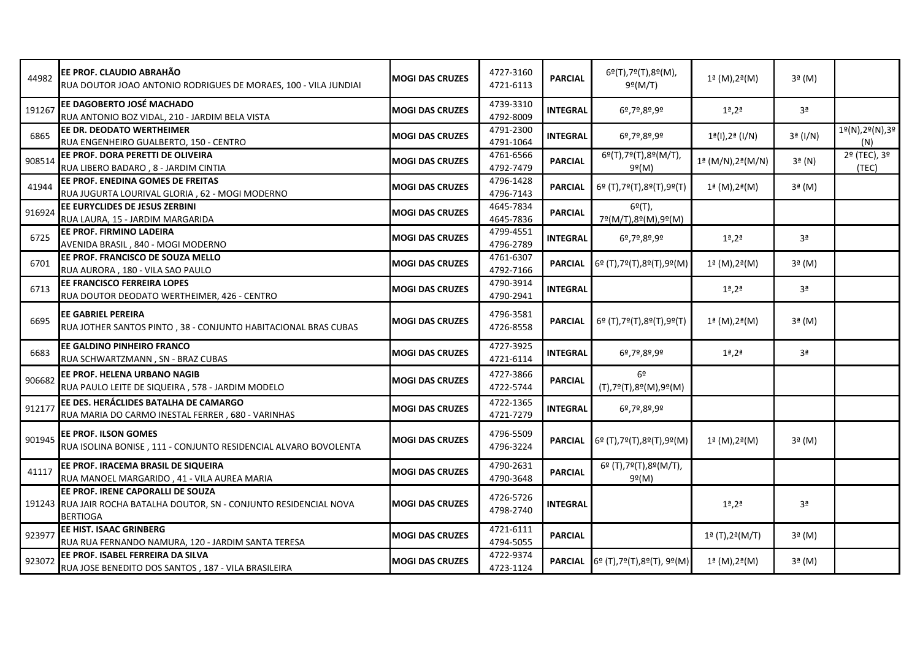| 44982  | EE PROF. CLAUDIO ABRAHÃO<br>RUA DOUTOR JOAO ANTONIO RODRIGUES DE MORAES, 100 - VILA JUNDIAI                                  | <b>IMOGI DAS CRUZES</b> | 4727-3160<br>4721-6113 | <b>PARCIAL</b>  | 6º(T),7º(T),8º(M),<br>$9^{\circ}$ (M/T)                                                       | 1ª (M), 2ª (M)                                   | $3a$ (M)       |                       |
|--------|------------------------------------------------------------------------------------------------------------------------------|-------------------------|------------------------|-----------------|-----------------------------------------------------------------------------------------------|--------------------------------------------------|----------------|-----------------------|
| 191267 | EE DAGOBERTO JOSÉ MACHADO<br>RUA ANTONIO BOZ VIDAL, 210 - JARDIM BELA VISTA                                                  | <b>MOGI DAS CRUZES</b>  | 4739-3310<br>4792-8009 | <b>INTEGRAL</b> | 6º,7º,8º,9º                                                                                   | $1a$ , $2a$                                      | Зª             |                       |
| 6865   | EE DR. DEODATO WERTHEIMER<br>RUA ENGENHEIRO GUALBERTO, 150 - CENTRO                                                          | <b>MOGI DAS CRUZES</b>  | 4791-2300<br>4791-1064 | <b>INTEGRAL</b> | 6º,7º,8º,9º                                                                                   | 1ª(I),2ª (I/N)                                   | 3ª (I/N)       | 1º(N),2º(N),3º<br>(N) |
| 908514 | EE PROF. DORA PERETTI DE OLIVEIRA<br>RUA LIBERO BADARO, 8 - JARDIM CINTIA                                                    | <b>MOGI DAS CRUZES</b>  | 4761-6566<br>4792-7479 | <b>PARCIAL</b>  | 6º(T),7º(T),8º(M/T),<br>9º(M)                                                                 | 1ª (M/N), 2ª (M/N)                               | $3a$ (N)       | 2º (TEC), 3º<br>(TEC) |
| 41944  | EE PROF. ENEDINA GOMES DE FREITAS<br>RUA JUGURTA LOURIVAL GLORIA, 62 - MOGI MODERNO                                          | <b>MOGI DAS CRUZES</b>  | 4796-1428<br>4796-7143 | <b>PARCIAL</b>  | 6º (T),7º(T),8º(T),9º(T)                                                                      | $1^{\underline{a}}$ (M), $2^{\underline{a}}$ (M) | $3a$ (M)       |                       |
| 916924 | EE EURYCLIDES DE JESUS ZERBINI<br>RUA LAURA, 15 - JARDIM MARGARIDA                                                           | <b>MOGI DAS CRUZES</b>  | 4645-7834<br>4645-7836 | <b>PARCIAL</b>  | $6^{\circ}$ (T),<br>7º(M/T),8º(M),9º(M)                                                       |                                                  |                |                       |
| 6725   | <b>EE PROF. FIRMINO LADEIRA</b><br>AVENIDA BRASIL, 840 - MOGI MODERNO                                                        | <b>MOGI DAS CRUZES</b>  | 4799-4551<br>4796-2789 | <b>INTEGRAL</b> | 6º,7º,8º,9º                                                                                   | $1a$ , $2a$                                      | 3 <sup>a</sup> |                       |
| 6701   | EE PROF. FRANCISCO DE SOUZA MELLO<br>RUA AURORA, 180 - VILA SAO PAULO                                                        | <b>MOGI DAS CRUZES</b>  | 4761-6307<br>4792-7166 |                 | <b>PARCIAL</b> $6^{\circ}$ (T), 7 <sup>o</sup> (T), 8 <sup>o</sup> (T), 9 <sup>o</sup> (M)    | $1^{\frac{1}{2}}$ (M), $2^{\frac{1}{2}}$ (M)     | $3a$ (M)       |                       |
| 6713   | EE FRANCISCO FERREIRA LOPES<br>RUA DOUTOR DEODATO WERTHEIMER, 426 - CENTRO                                                   | <b>MOGI DAS CRUZES</b>  | 4790-3914<br>4790-2941 | <b>INTEGRAL</b> |                                                                                               | $1a$ , $2a$                                      | Зª             |                       |
| 6695   | <b>EE GABRIEL PEREIRA</b><br>RUA JOTHER SANTOS PINTO, 38 - CONJUNTO HABITACIONAL BRAS CUBAS                                  | <b>MOGI DAS CRUZES</b>  | 4796-3581<br>4726-8558 | <b>PARCIAL</b>  | 6º (T),7º(T),8º(T),9º(T)                                                                      | 1ª (M),2ª(M)                                     | $3a$ (M)       |                       |
| 6683   | EE GALDINO PINHEIRO FRANCO<br>RUA SCHWARTZMANN, SN - BRAZ CUBAS                                                              | <b>MOGI DAS CRUZES</b>  | 4727-3925<br>4721-6114 | <b>INTEGRAL</b> | 6º,7º,8º,9º                                                                                   | $1a$ , $2a$                                      | 3 <sup>a</sup> |                       |
| 906682 | EE PROF. HELENA URBANO NAGIB<br>RUA PAULO LEITE DE SIQUEIRA, 578 - JARDIM MODELO                                             | <b>MOGI DAS CRUZES</b>  | 4727-3866<br>4722-5744 | <b>PARCIAL</b>  | 6 <sup>°</sup><br>(T),7º(T),8º(M),9º(M)                                                       |                                                  |                |                       |
| 912177 | EE DES. HERÁCLIDES BATALHA DE CAMARGO<br>RUA MARIA DO CARMO INESTAL FERRER, 680 - VARINHAS                                   | <b>MOGI DAS CRUZES</b>  | 4722-1365<br>4721-7279 | <b>INTEGRAL</b> | 6º,7º,8º,9º                                                                                   |                                                  |                |                       |
| 901945 | EE PROF. ILSON GOMES<br>RUA ISOLINA BONISE, 111 - CONJUNTO RESIDENCIAL ALVARO BOVOLENTA                                      | <b>MOGI DAS CRUZES</b>  | 4796-5509<br>4796-3224 |                 | <b>PARCIAL</b> $6^{\circ}$ (T), 7 <sup>o</sup> (T), 8 <sup>o</sup> (T), 9 <sup>o</sup> (M)    | 1ª (M),2ª(M)                                     | $3a$ (M)       |                       |
| 41117  | EE PROF. IRACEMA BRASIL DE SIQUEIRA<br>RUA MANOEL MARGARIDO, 41 - VILA AUREA MARIA                                           | <b>MOGI DAS CRUZES</b>  | 4790-2631<br>4790-3648 | <b>PARCIAL</b>  | 6º (T),7º(T),8º(M/T),<br>9º(M)                                                                |                                                  |                |                       |
|        | EE PROF. IRENE CAPORALLI DE SOUZA<br>191243 RUA JAIR ROCHA BATALHA DOUTOR, SN - CONJUNTO RESIDENCIAL NOVA<br><b>BERTIOGA</b> | <b>MOGI DAS CRUZES</b>  | 4726-5726<br>4798-2740 | <b>INTEGRAL</b> |                                                                                               | $1a$ , $2a$                                      | 3 <sup>a</sup> |                       |
| 923977 | EE HIST. ISAAC GRINBERG<br>RUA RUA FERNANDO NAMURA, 120 - JARDIM SANTA TERESA                                                | <b>MOGI DAS CRUZES</b>  | 4721-6111<br>4794-5055 | <b>PARCIAL</b>  |                                                                                               | 1ª (T),2ª (M/T)                                  | $3a$ (M)       |                       |
| 923072 | EE PROF. ISABEL FERREIRA DA SILVA<br>RUA JOSE BENEDITO DOS SANTOS, 187 - VILA BRASILEIRA                                     | <b>MOGI DAS CRUZES</b>  | 4722-9374<br>4723-1124 |                 | <b>PARCIAL</b> 6 <sup>o</sup> (T), 7 <sup>o</sup> (T), 8 <sup>o</sup> (T), 9 <sup>o</sup> (M) | $1^{\frac{1}{2}}$ (M), $2^{\frac{1}{2}}$ (M)     | $3a$ (M)       |                       |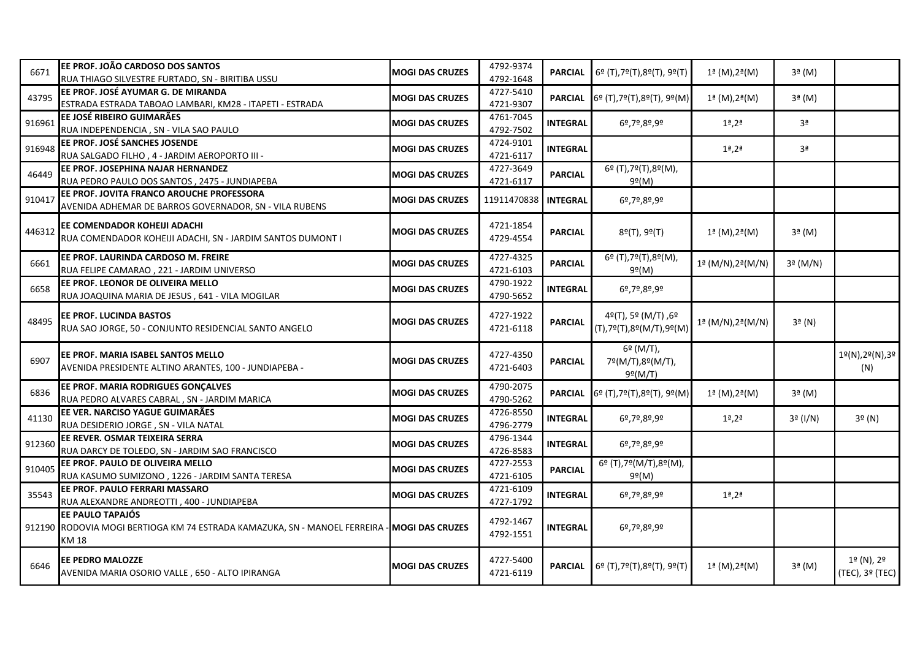| 6671   | EE PROF. JOÃO CARDOSO DOS SANTOS<br>RUA THIAGO SILVESTRE FURTADO, SN - BIRITIBA USSU                                                  | <b>MOGI DAS CRUZES</b> | 4792-9374<br>4792-1648 | <b>PARCIAL</b>  | 6º (T),7º(T),8º(T), 9º(T)                          | 1ª (M),2ª(M)                                         | $3a$ (M)       |                               |
|--------|---------------------------------------------------------------------------------------------------------------------------------------|------------------------|------------------------|-----------------|----------------------------------------------------|------------------------------------------------------|----------------|-------------------------------|
| 43795  | EE PROF. JOSÉ AYUMAR G. DE MIRANDA<br>ESTRADA ESTRADA TABOAO LAMBARI, KM28 - ITAPETI - ESTRADA                                        | <b>MOGI DAS CRUZES</b> | 4727-5410<br>4721-9307 |                 | PARCIAL 6º (T), 7º (T), 8º (T), 9º (M)             | $1^{\frac{1}{2}}$ (M), $2^{\frac{1}{2}}$ (M)         | 3ª (M)         |                               |
| 916961 | EE JOSÉ RIBEIRO GUIMARÃES<br>RUA INDEPENDENCIA, SN - VILA SAO PAULO                                                                   | <b>MOGI DAS CRUZES</b> | 4761-7045<br>4792-7502 | <b>INTEGRAL</b> | 6º,7º,8º,9º                                        | $1a$ , $2a$                                          | 3 <sup>a</sup> |                               |
| 916948 | EE PROF. JOSÉ SANCHES JOSENDE<br>RUA SALGADO FILHO, 4 - JARDIM AEROPORTO III -                                                        | <b>MOGI DAS CRUZES</b> | 4724-9101<br>4721-6117 | <b>INTEGRAL</b> |                                                    | $1a$ , $2a$                                          | 3 <sup>a</sup> |                               |
| 46449  | EE PROF. JOSEPHINA NAJAR HERNANDEZ<br>RUA PEDRO PAULO DOS SANTOS, 2475 - JUNDIAPEBA                                                   | <b>MOGI DAS CRUZES</b> | 4727-3649<br>4721-6117 | <b>PARCIAL</b>  | 6º (T),7º(T),8º(M),<br>$9^{\circ}$ (M)             |                                                      |                |                               |
| 910417 | EE PROF. JOVITA FRANCO AROUCHE PROFESSORA<br>AVENIDA ADHEMAR DE BARROS GOVERNADOR, SN - VILA RUBENS                                   | <b>MOGI DAS CRUZES</b> | 11911470838            | <b>INTEGRAL</b> | 6º,7º,8º,9º                                        |                                                      |                |                               |
| 446312 | EE COMENDADOR KOHEIJI ADACHI<br>RUA COMENDADOR KOHEIJI ADACHI, SN - JARDIM SANTOS DUMONT I                                            | <b>MOGI DAS CRUZES</b> | 4721-1854<br>4729-4554 | <b>PARCIAL</b>  | 8º(T), 9º(T)                                       | 1ª (M),2ª(M)                                         | $3a$ (M)       |                               |
| 6661   | EE PROF. LAURINDA CARDOSO M. FREIRE<br>RUA FELIPE CAMARAO, 221 - JARDIM UNIVERSO                                                      | <b>MOGI DAS CRUZES</b> | 4727-4325<br>4721-6103 | <b>PARCIAL</b>  | 6º (T),7º(T),8º(M),<br>9º(M)                       | $1^{\underline{a}}$ (M/N), $2^{\underline{a}}$ (M/N) | 3ª (M/N)       |                               |
| 6658   | EE PROF. LEONOR DE OLIVEIRA MELLO<br>RUA JOAQUINA MARIA DE JESUS, 641 - VILA MOGILAR                                                  | <b>MOGI DAS CRUZES</b> | 4790-1922<br>4790-5652 | <b>INTEGRAL</b> | 6º,7º,8º,9º                                        |                                                      |                |                               |
| 48495  | <b>EE PROF. LUCINDA BASTOS</b><br>RUA SAO JORGE, 50 - CONJUNTO RESIDENCIAL SANTO ANGELO                                               | <b>MOGI DAS CRUZES</b> | 4727-1922<br>4721-6118 | <b>PARCIAL</b>  | 4º(T), 5º (M/T), 6º<br>(T),7º(T),8º(M/T),9º(M)     | $1^{\frac{1}{2}}$ (M/N), $2^{\frac{1}{2}}$ (M/N)     | $3a$ (N)       |                               |
| 6907   | EE PROF. MARIA ISABEL SANTOS MELLO<br>AVENIDA PRESIDENTE ALTINO ARANTES, 100 - JUNDIAPEBA -                                           | <b>MOGI DAS CRUZES</b> | 4727-4350<br>4721-6403 | <b>PARCIAL</b>  | 6º (M/T),<br>7º(M/T),8º(M/T),<br>$9^{\circ}$ (M/T) |                                                      |                | 1º(N),2º(N),3º<br>(N)         |
| 6836   | EE PROF. MARIA RODRIGUES GONÇALVES<br>RUA PEDRO ALVARES CABRAL, SN - JARDIM MARICA                                                    | <b>MOGI DAS CRUZES</b> | 4790-2075<br>4790-5262 | <b>PARCIAL</b>  | 6º (T),7º(T),8º(T), 9º(M)                          | 1ª (M),2ª(M)                                         | $3a$ (M)       |                               |
| 41130  | EE VER. NARCISO YAGUE GUIMARÃES<br>RUA DESIDERIO JORGE, SN - VILA NATAL                                                               | <b>MOGI DAS CRUZES</b> | 4726-8550<br>4796-2779 | <b>INTEGRAL</b> | 6º,7º,8º,9º                                        | $1a$ , $2a$                                          | 3ª (I/N)       | $3^{\circ}$ (N)               |
| 912360 | EE REVER. OSMAR TEIXEIRA SERRA<br>RUA DARCY DE TOLEDO, SN - JARDIM SAO FRANCISCO                                                      | <b>MOGI DAS CRUZES</b> | 4796-1344<br>4726-8583 | <b>INTEGRAL</b> | 6º,7º,8º,9º                                        |                                                      |                |                               |
| 910405 | EE PROF. PAULO DE OLIVEIRA MELLO<br>RUA KASUMO SUMIZONO, 1226 - JARDIM SANTA TERESA                                                   | <b>MOGI DAS CRUZES</b> | 4727-2553<br>4721-6105 | <b>PARCIAL</b>  | 6º (T),7º(M/T),8º(M),<br>$9^{\circ}$ (M)           |                                                      |                |                               |
| 35543  | EE PROF. PAULO FERRARI MASSARO<br>RUA ALEXANDRE ANDREOTTI, 400 - JUNDIAPEBA                                                           | <b>MOGI DAS CRUZES</b> | 4721-6109<br>4727-1792 | <b>INTEGRAL</b> | 6º,7º,8º,9º                                        | $1a$ , $2a$                                          |                |                               |
|        | <b>EE PAULO TAPAJÓS</b><br>912190 RODOVIA MOGI BERTIOGA KM 74 ESTRADA KAMAZUKA, SN - MANOEL FERREIRA - MOGI DAS CRUZES<br><b>KM18</b> |                        | 4792-1467<br>4792-1551 | <b>INTEGRAL</b> | 6º,7º,8º,9º                                        |                                                      |                |                               |
| 6646   | EE PEDRO MALOZZE<br>AVENIDA MARIA OSORIO VALLE, 650 - ALTO IPIRANGA                                                                   | <b>MOGI DAS CRUZES</b> | 4727-5400<br>4721-6119 | <b>PARCIAL</b>  | 69 (T), 79 (T), 89 (T), 99 (T)                     | 1ª (M),2ª(M)                                         | $3a$ (M)       | 1º (N), 2º<br>(TEC), 3º (TEC) |